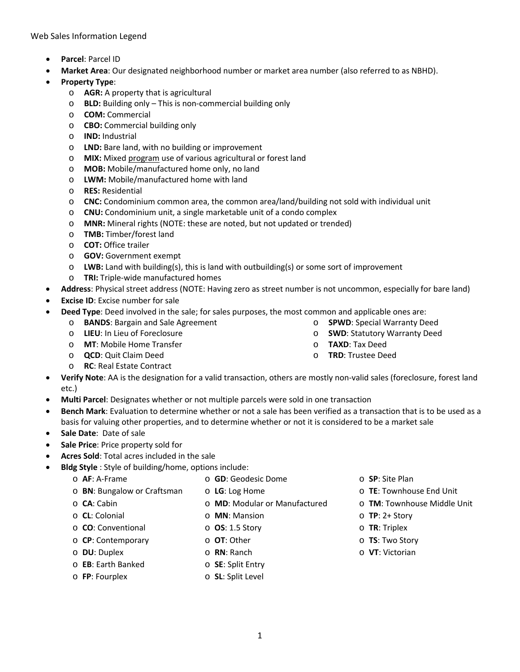Web Sales Information Legend

- **Parcel**: Parcel ID
- **Market Area**: Our designated neighborhood number or market area number (also referred to as NBHD).
- **Property Type**:
	- o **AGR:** A property that is agricultural
	- o **BLD:** Building only This is non-commercial building only
	- o **COM:** Commercial
	- o **CBO:** Commercial building only
	- o **IND:** Industrial
	- o **LND:** Bare land, with no building or improvement
	- o **MIX:** Mixed program use of various agricultural or forest land
	- o **MOB:** Mobile/manufactured home only, no land
	- o **LWM:** Mobile/manufactured home with land
	- o **RES:** Residential
	- o **CNC:** Condominium common area, the common area/land/building not sold with individual unit
	- o **CNU:** Condominium unit, a single marketable unit of a condo complex
	- o **MNR:** Mineral rights (NOTE: these are noted, but not updated or trended)
	- o **TMB:** Timber/forest land
	- o **COT:** Office trailer
	- o **GOV:** Government exempt
	- o **LWB:** Land with building(s), this is land with outbuilding(s) or some sort of improvement
	- o **TRI:** Triple-wide manufactured homes
- **Address**: Physical street address (NOTE: Having zero as street number is not uncommon, especially for bare land)
- **Excise ID:** Excise number for sale
- **Deed Type**: Deed involved in the sale; for sales purposes, the most common and applicable ones are:
	- o **BANDS**: Bargain and Sale Agreement
	- o **LIEU**: In Lieu of Foreclosure
	- o **MT**: Mobile Home Transfer
	- o **QCD**: Quit Claim Deed
	- o **RC**: Real Estate Contract
- o **SWD**: Statutory Warranty Deed o **TAXD**: Tax Deed
- 
- **Verify Note**: AA is the designation for a valid transaction, others are mostly non-valid sales (foreclosure, forest land etc.)
- **Multi Parcel**: Designates whether or not multiple parcels were sold in one transaction
- **Bench Mark**: Evaluation to determine whether or not a sale has been verified as a transaction that is to be used as a basis for valuing other properties, and to determine whether or not it is considered to be a market sale
- **Sale Date**: Date of sale
- **Sale Price**: Price property sold for
- **Acres Sold**: Total acres included in the sale
- **Bldg Style** : Style of building/home, options include:
	- o **AF**: A-Frame
- o **GD**: Geodesic Dome o **LG**: Log Home
- o **BN**: Bungalow or Craftsman
	- o **MD**: Modular or Manufactured
- o **CA**: Cabin o **CL**: Colonial
- 
- o **CO**: Conventional
- o **CP**: Contemporary
- o **DU**: Duplex

o **OT**: Other o **RN**: Ranch

o **SE**: Split Entry

o **MN**: Mansion o **OS**: 1.5 Story

- o **EB**: Earth Banked
- o **FP**: Fourplex o **SL**: Split Level
- o **SP**: Site Plan
- o **TE**: Townhouse End Unit
- o **TM**: Townhouse Middle Unit
- o **TP**: 2+ Story
- o **TR**: Triplex
- o **TS**: Two Story
- o **VT**: Victorian

o **TRD**: Trustee Deed

o **SPWD**: Special Warranty Deed